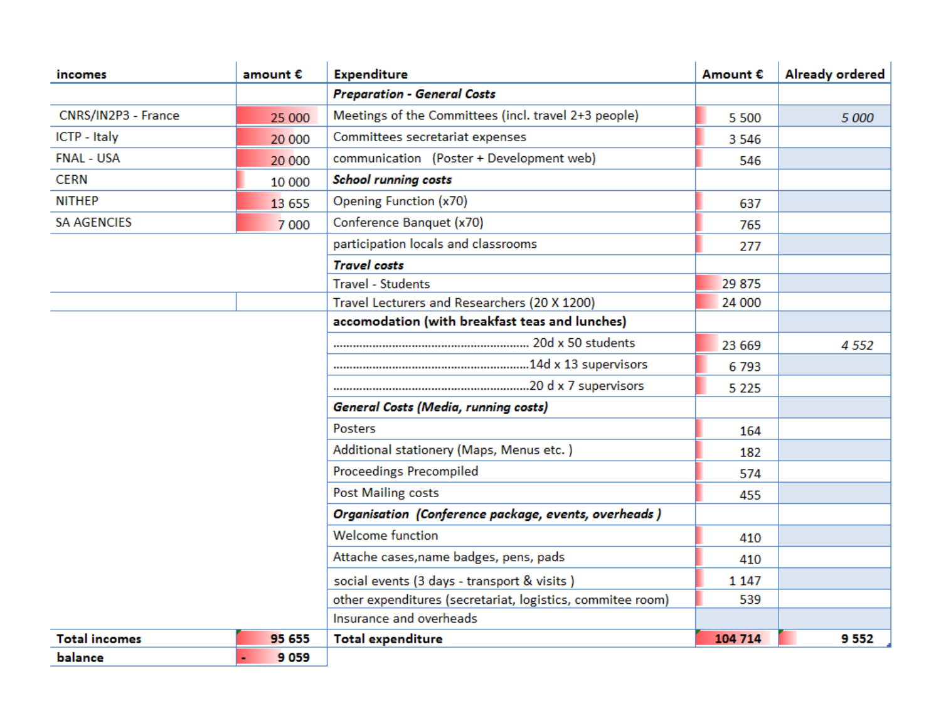| <i>incomes</i>                              | amount €                                                   | <b>Expenditure</b>                                   | Amount € | <b>Already ordered</b> |
|---------------------------------------------|------------------------------------------------------------|------------------------------------------------------|----------|------------------------|
|                                             |                                                            | <b>Preparation - General Costs</b>                   |          |                        |
| CNRS/IN2P3 - France                         | 25 000                                                     | Meetings of the Committees (incl. travel 2+3 people) | 5 500    | 5 000                  |
| ICTP - Italy                                | 20 000                                                     | Committees secretariat expenses                      | 3 5 4 6  |                        |
| <b>FNAL - USA</b>                           | 20 000                                                     | communication (Poster + Development web)             | 546      |                        |
| <b>CERN</b>                                 | 10 000                                                     | <b>School running costs</b>                          |          |                        |
| <b>NITHEP</b>                               | 13 655                                                     | Opening Function (x70)                               | 637      |                        |
| <b>SA AGENCIES</b>                          | 7 0 0 0                                                    | Conference Banquet (x70)                             | 765      |                        |
|                                             |                                                            | participation locals and classrooms                  | 277      |                        |
|                                             |                                                            | <b>Travel costs</b>                                  |          |                        |
|                                             |                                                            | <b>Travel - Students</b>                             | 29 875   |                        |
|                                             |                                                            | Travel Lecturers and Researchers (20 X 1200)         | 24 000   |                        |
|                                             |                                                            | accomodation (with breakfast teas and lunches)       |          |                        |
|                                             |                                                            |                                                      | 23 669   | 4 5 5 2                |
|                                             |                                                            |                                                      | 6793     |                        |
|                                             |                                                            |                                                      | 5 2 2 5  |                        |
|                                             |                                                            | <b>General Costs (Media, running costs)</b>          |          |                        |
|                                             |                                                            | <b>Posters</b>                                       | 164      |                        |
|                                             |                                                            | Additional stationery (Maps, Menus etc.)             | 182      |                        |
|                                             |                                                            | <b>Proceedings Precompiled</b>                       | 574      |                        |
|                                             |                                                            | <b>Post Mailing costs</b>                            | 455      |                        |
|                                             |                                                            | Organisation (Conference package, events, overheads) |          |                        |
|                                             |                                                            | <b>Welcome function</b>                              | 410      |                        |
|                                             |                                                            | Attache cases, name badges, pens, pads               | 410      |                        |
| social events (3 days - transport & visits) |                                                            |                                                      | 1 1 4 7  |                        |
|                                             | other expenditures (secretariat, logistics, commitee room) | 539                                                  |          |                        |
|                                             |                                                            | Insurance and overheads                              |          |                        |
| <b>Total incomes</b>                        | 95 655                                                     | <b>Total expenditure</b>                             | 104 714  | 9552                   |
| balance                                     | 9059                                                       |                                                      |          |                        |